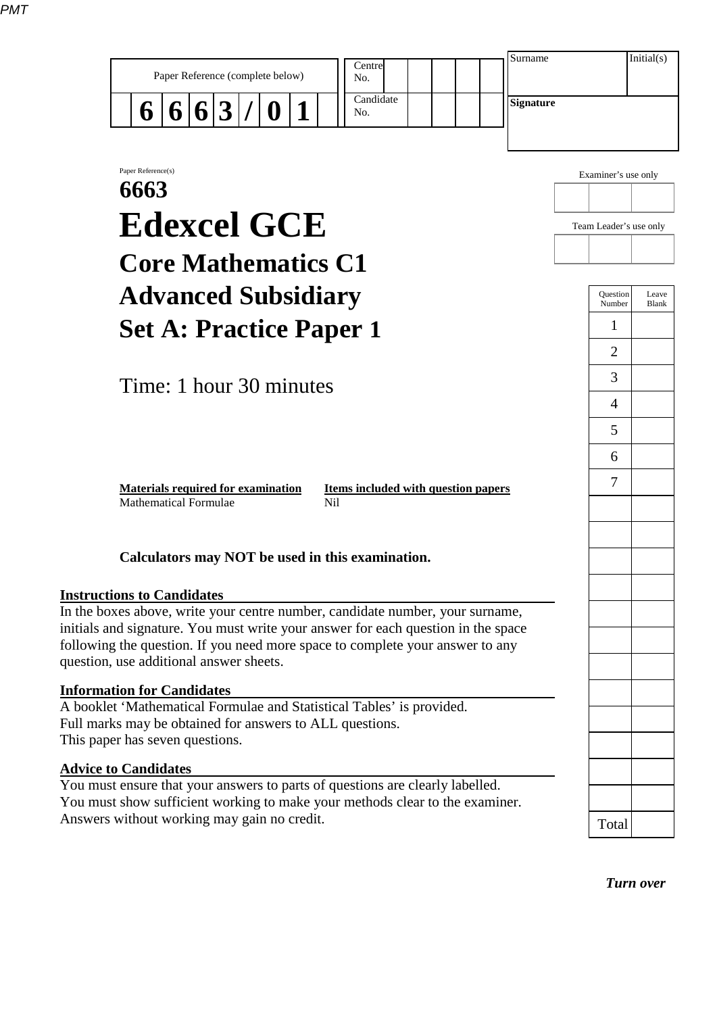| Candidate<br><b>Signature</b><br>$\mathbf{3}$<br>6<br>$\vert$ 6<br>6<br>No.<br>Examiner's use only<br>Team Leader's use only<br>Question<br>Number<br>1 | Paper Reference(s)<br>6663<br><b>Edexcel GCE</b><br><b>Core Mathematics C1</b><br><b>Advanced Subsidiary</b><br><b>Set A: Practice Paper 1</b><br>$\overline{2}$ | Centre<br>Paper Reference (complete below)<br>No. |  |  |  |  |  |  |  | Surname |  | Initial(s) |  |                |
|---------------------------------------------------------------------------------------------------------------------------------------------------------|------------------------------------------------------------------------------------------------------------------------------------------------------------------|---------------------------------------------------|--|--|--|--|--|--|--|---------|--|------------|--|----------------|
|                                                                                                                                                         |                                                                                                                                                                  |                                                   |  |  |  |  |  |  |  |         |  |            |  |                |
|                                                                                                                                                         |                                                                                                                                                                  |                                                   |  |  |  |  |  |  |  |         |  |            |  |                |
|                                                                                                                                                         |                                                                                                                                                                  |                                                   |  |  |  |  |  |  |  |         |  |            |  |                |
|                                                                                                                                                         |                                                                                                                                                                  |                                                   |  |  |  |  |  |  |  |         |  |            |  |                |
|                                                                                                                                                         |                                                                                                                                                                  |                                                   |  |  |  |  |  |  |  |         |  |            |  | Leave<br>Blank |
|                                                                                                                                                         |                                                                                                                                                                  |                                                   |  |  |  |  |  |  |  |         |  |            |  |                |

Time: 1 hour 30 minutes

Mathematical Formulae Nil

**Materials required for examination Items included with question papers** 7

## **Calculators may NOT be used in this examination.**

## **Instructions to Candidates**

In the boxes above, write your centre number, candidate number, your surname, initials and signature. You must write your answer for each question in the space following the question. If you need more space to complete your answer to any question, use additional answer sheets.

## **Information for Candidates**

A booklet 'Mathematical Formulae and Statistical Tables' is provided. Full marks may be obtained for answers to ALL questions. This paper has seven questions.

## **Advice to Candidates**

You must ensure that your answers to parts of questions are clearly labelled. You must show sufficient working to make your methods clear to the examiner. Answers without working may gain no credit.

| Question<br>Number | Leave<br>Blank |
|--------------------|----------------|
| $\mathbf 1$        |                |
| $\overline{c}$     |                |
| 3                  |                |
| $\overline{4}$     |                |
| 5                  |                |
| $\overline{6}$     |                |
| 7                  |                |
|                    |                |
|                    |                |
|                    |                |
|                    |                |
|                    |                |
|                    |                |
|                    |                |
|                    |                |
|                    |                |
|                    |                |
|                    |                |
|                    |                |
| Total              |                |
|                    |                |
| <u>rurn</u>        | rei<br>ſ,      |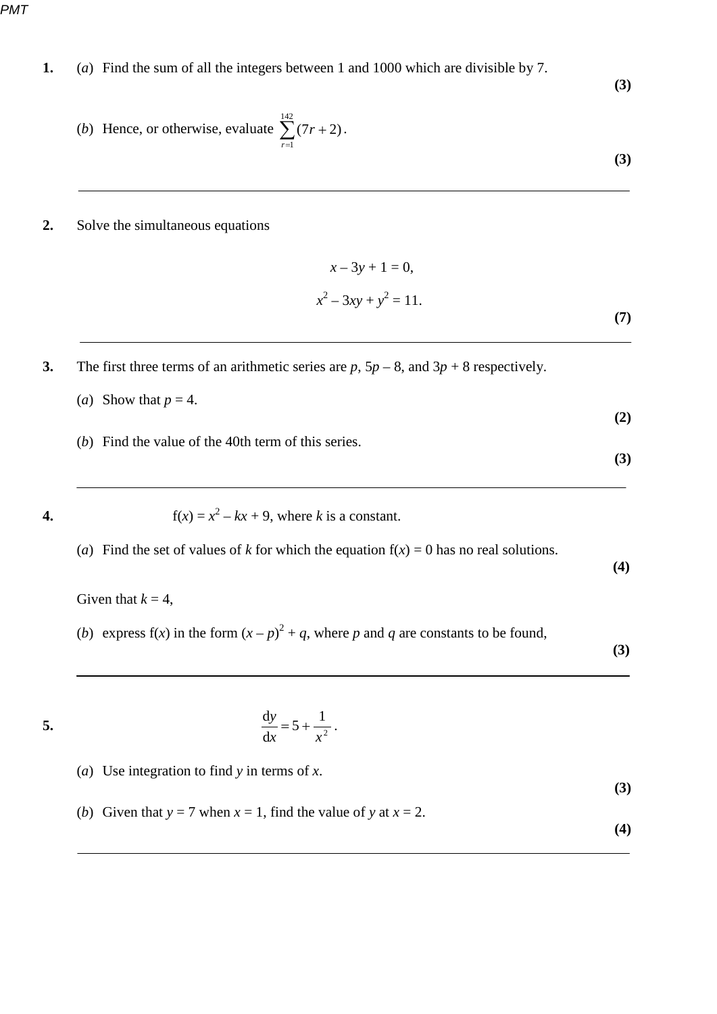*PMT*

**1.** (*a*) Find the sum of all the integers between 1 and 1000 which are divisible by 7.

(b) Hence, or otherwise, evaluate 
$$
\sum_{r=1}^{142} (7r + 2).
$$
 (3)

**2.** Solve the simultaneous equations

$$
x - 3y + 1 = 0,
$$
  

$$
x^{2} - 3xy + y^{2} = 11.
$$
 (7)

- **3.** The first three terms of an arithmetic series are  $p$ ,  $5p 8$ , and  $3p + 8$  respectively.
	- (*a*) Show that  $p = 4$ . **(2)**
		- (*b*) Find the value of the 40th term of this series.

**4.**  $f(x) = x^2 - kx + 9$ , where *k* is a constant.

(*a*) Find the set of values of *k* for which the equation  $f(x) = 0$  has no real solutions. **(4)**

Given that  $k = 4$ ,

(*b*) express  $f(x)$  in the form  $(x - p)^2 + q$ , where *p* and *q* are constants to be found,

 **(3)**

**(3)**

**(3)**

$$
\cdot
$$

$$
\frac{\mathrm{d}y}{\mathrm{d}x} = 5 + \frac{1}{x^2} \, .
$$

- (*a*) Use integration to find *y* in terms of *x*. **(3)**
- (*b*) Given that  $y = 7$  when  $x = 1$ , find the value of y at  $x = 2$ . **(4)**